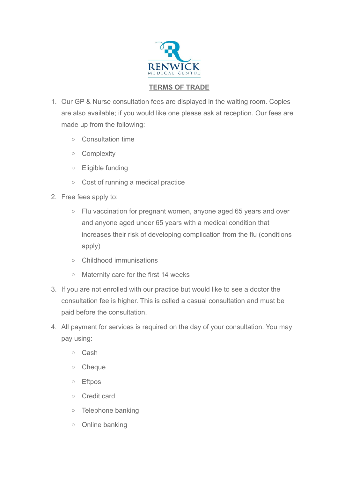

## **TERMS OF TRADE**

- 1. Our GP & Nurse consultation fees are displayed in the waiting room. Copies are also available; if you would like one please ask at reception. Our fees are made up from the following:
	- o Consultation time
	- o Complexity
	- o Eligible funding
	- o Cost of running a medical practice
- 2. Free fees apply to:
	- o Flu vaccination for pregnant women, anyone aged 65 years and over and anyone aged under 65 years with a medical condition that increases their risk of developing complication from the flu (conditions apply)
	- o Childhood immunisations
	- o Maternity care for the first 14 weeks
- 3. If you are not enrolled with our practice but would like to see a doctor the consultation fee is higher. This is called a casual consultation and must be paid before the consultation.
- 4. All payment for services is required on the day of your consultation. You may pay using:
	- o Cash
	- o Cheque
	- o Eftpos
	- o Credit card
	- o Telephone banking
	- o Online banking